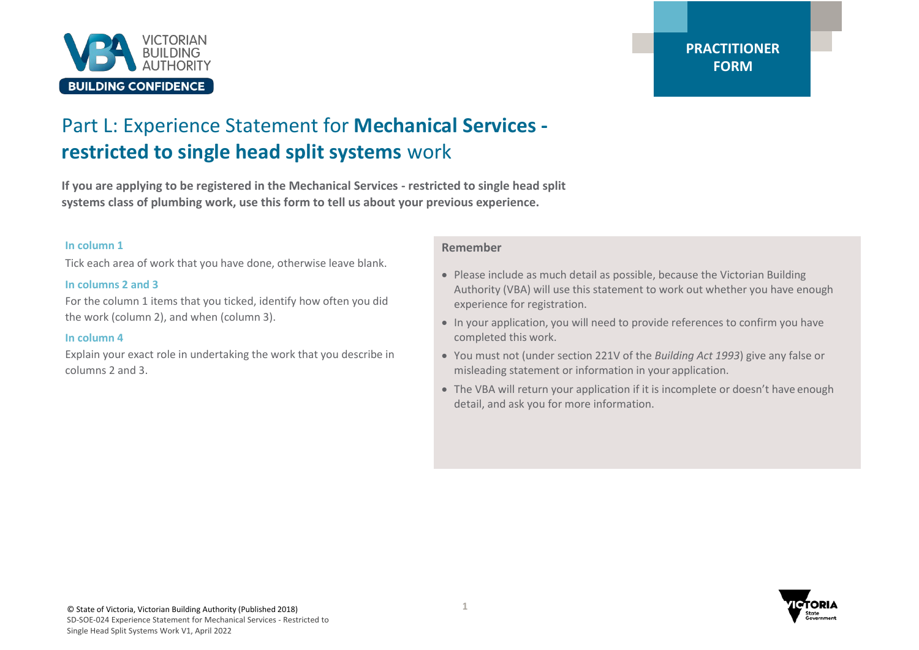

# Part L: Experience Statement for **Mechanical Services restricted to single head split systems** work

**If you are applying to be registered in the Mechanical Services - restricted to single head split systems class of plumbing work, use this form to tell us about your previous experience.**

#### **In column 1**

Tick each area of work that you have done, otherwise leave blank.

### **In columns 2 and 3**

For the column 1 items that you ticked, identify how often you did the work (column 2), and when (column 3).

### **In column 4**

Explain your exact role in undertaking the work that you describe in columns 2 and 3.

## **Remember**

- Please include as much detail as possible, because the Victorian Building Authority (VBA) will use this statement to work out whether you have enough experience for registration.
- In your application, you will need to provide references to confirm you have completed this work.
- You must not (under section 221V of the *Building Act 1993*) give any false or misleading statement or information in your application.
- The VBA will return your application if it is incomplete or doesn't have enough detail, and ask you for more information.

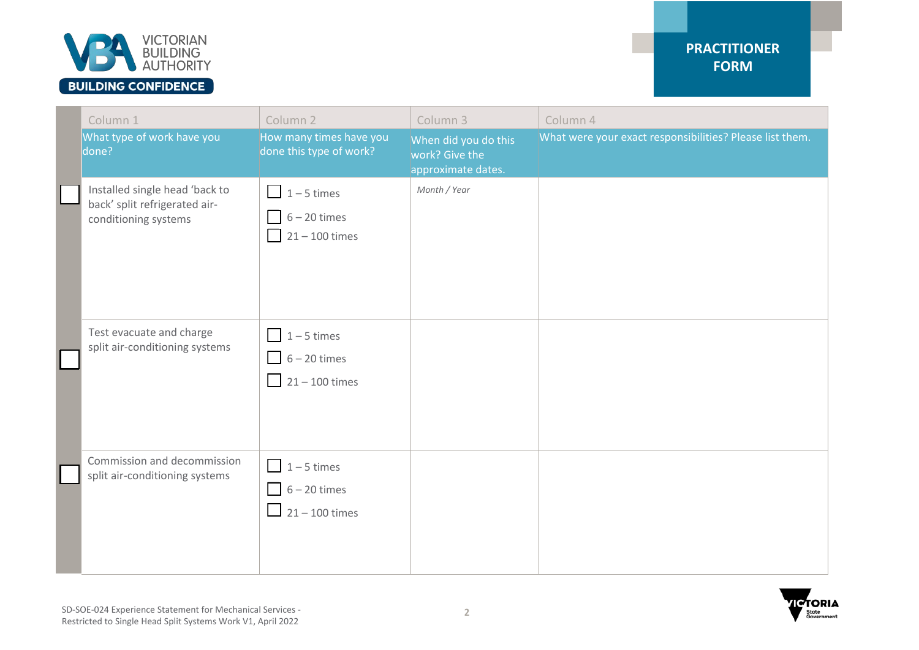

| Column 1                                                                                | Column <sub>2</sub>                                                           | Column 3                                                     | Column 4                                                 |
|-----------------------------------------------------------------------------------------|-------------------------------------------------------------------------------|--------------------------------------------------------------|----------------------------------------------------------|
| What type of work have you<br>done?                                                     | How many times have you<br>done this type of work?                            | When did you do this<br>work? Give the<br>approximate dates. | What were your exact responsibilities? Please list them. |
| Installed single head 'back to<br>back' split refrigerated air-<br>conditioning systems | $\boxed{\phantom{1}}$ 1 – 5 times<br>$6 - 20$ times<br>$21 - 100$ times       | Month / Year                                                 |                                                          |
| Test evacuate and charge<br>split air-conditioning systems                              | $\boxed{1-5}$ times<br>$6 - 20$ times<br>$\boxed{\phantom{1}}$ 21 – 100 times |                                                              |                                                          |
| Commission and decommission<br>split air-conditioning systems                           | $1 - 5$ times<br>$6 - 20$ times<br>$\boxed{\phantom{0}}$ 21 – 100 times       |                                                              |                                                          |